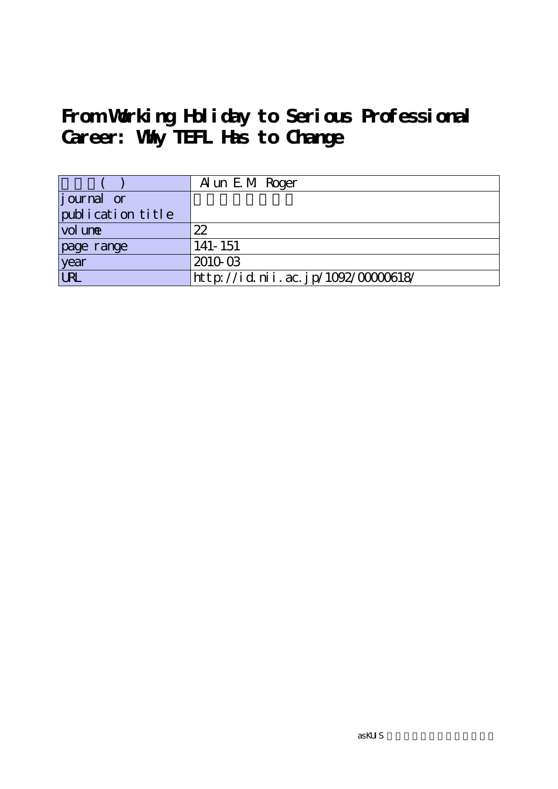# **From Working Holiday to Serious Professional Career: Why TEFL Has to Change**

|                    | A un E M Roger                     |
|--------------------|------------------------------------|
| <i>j</i> ournal or |                                    |
| publication title  |                                    |
| vol une            | 22                                 |
| page range         | 141-151                            |
| year               | 2010-03                            |
| URL                | http://id.nii.ac.jp/1092/00000618/ |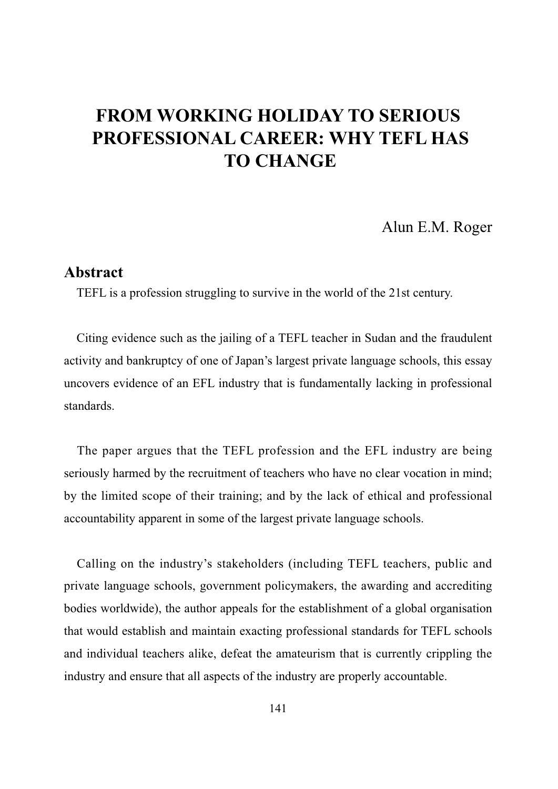Alun E.M. Roger

## **Abstract**

TEFL is a profession struggling to survive in the world of the 21st century.

Citing evidence such as the jailing of a TEFL teacher in Sudan and the fraudulent activity and bankruptcy of one of Japan's largest private language schools, this essay uncovers evidence of an EFL industry that is fundamentally lacking in professional standards.

The paper argues that the TEFL profession and the EFL industry are being seriously harmed by the recruitment of teachers who have no clear vocation in mind; by the limited scope of their training; and by the lack of ethical and professional accountability apparent in some of the largest private language schools.

Calling on the industry's stakeholders (including TEFL teachers, public and private language schools, government policymakers, the awarding and accrediting bodies worldwide), the author appeals for the establishment of a global organisation that would establish and maintain exacting professional standards for TEFL schools and individual teachers alike, defeat the amateurism that is currently crippling the industry and ensure that all aspects of the industry are properly accountable.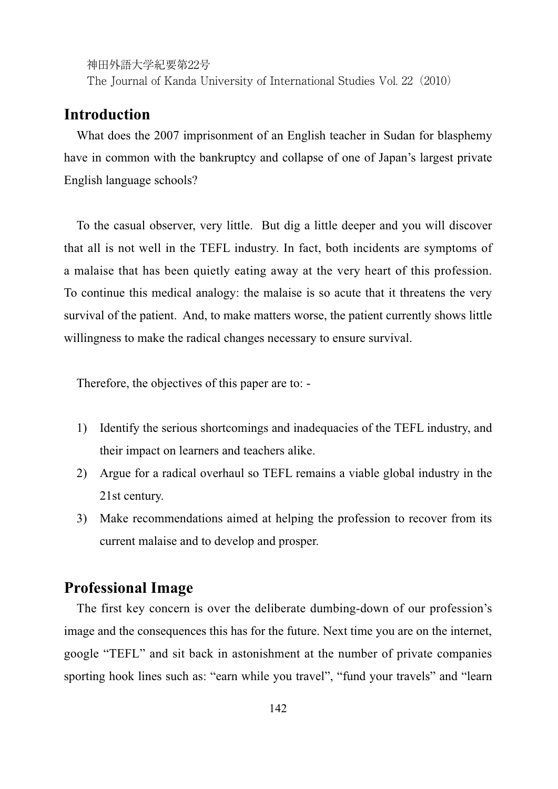The Journal of Kanda University of International Studies Vol. 22(2010)

## **Introduction**

What does the 2007 imprisonment of an English teacher in Sudan for blasphemy have in common with the bankruptcy and collapse of one of Japan's largest private English language schools?

To the casual observer, very little. But dig a little deeper and you will discover that all is not well in the TEFL industry. In fact, both incidents are symptoms of a malaise that has been quietly eating away at the very heart of this profession. To continue this medical analogy: the malaise is so acute that it threatens the very survival of the patient. And, to make matters worse, the patient currently shows little willingness to make the radical changes necessary to ensure survival.

Therefore, the objectives of this paper are to: -

- 1) Identify the serious shortcomings and inadequacies of the TEFL industry, and their impact on learners and teachers alike.
- 2) Argue for a radical overhaul so TEFL remains a viable global industry in the 21st century.
- 3) Make recommendations aimed at helping the profession to recover from its current malaise and to develop and prosper.

## **Professional Image**

The first key concern is over the deliberate dumbing-down of our profession's image and the consequences this has for the future. Next time you are on the internet, google "TEFL" and sit back in astonishment at the number of private companies sporting hook lines such as: "earn while you travel", "fund your travels" and "learn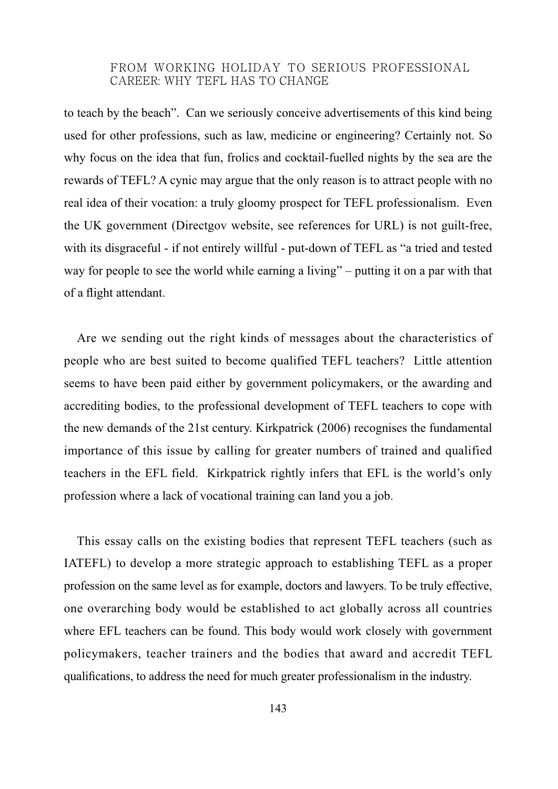to teach by the beach". Can we seriously conceive advertisements of this kind being used for other professions, such as law, medicine or engineering? Certainly not. So why focus on the idea that fun, frolics and cocktail-fuelled nights by the sea are the rewards of TEFL? A cynic may argue that the only reason is to attract people with no real idea of their vocation: a truly gloomy prospect for TEFL professionalism. Even the UK government (Directgov website, see references for URL) is not guilt-free, with its disgraceful - if not entirely willful - put-down of TEFL as "a tried and tested way for people to see the world while earning a living" – putting it on a par with that of a flight attendant.

Are we sending out the right kinds of messages about the characteristics of people who are best suited to become qualified TEFL teachers? Little attention seems to have been paid either by government policymakers, or the awarding and accrediting bodies, to the professional development of TEFL teachers to cope with the new demands of the 21st century. Kirkpatrick (2006) recognises the fundamental importance of this issue by calling for greater numbers of trained and qualified teachers in the EFL field. Kirkpatrick rightly infers that EFL is the world's only profession where a lack of vocational training can land you a job.

This essay calls on the existing bodies that represent TEFL teachers (such as IATEFL) to develop a more strategic approach to establishing TEFL as a proper profession on the same level as for example, doctors and lawyers. To be truly effective, one overarching body would be established to act globally across all countries where EFL teachers can be found. This body would work closely with government policymakers, teacher trainers and the bodies that award and accredit TEFL qualifications, to address the need for much greater professionalism in the industry.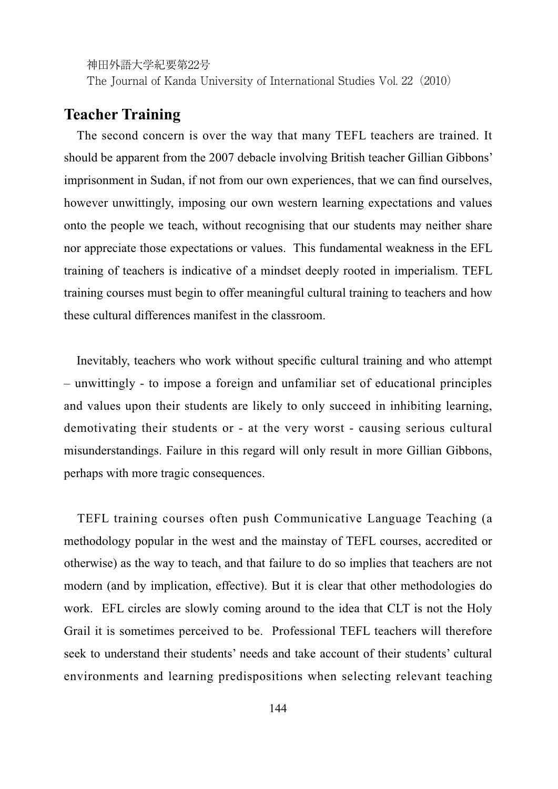The Journal of Kanda University of International Studies Vol. 22(2010)

## **Teacher Training**

The second concern is over the way that many TEFL teachers are trained. It should be apparent from the 2007 debacle involving British teacher Gillian Gibbons' imprisonment in Sudan, if not from our own experiences, that we can find ourselves, however unwittingly, imposing our own western learning expectations and values onto the people we teach, without recognising that our students may neither share nor appreciate those expectations or values. This fundamental weakness in the EFL training of teachers is indicative of a mindset deeply rooted in imperialism. TEFL training courses must begin to offer meaningful cultural training to teachers and how these cultural differences manifest in the classroom.

Inevitably, teachers who work without specific cultural training and who attempt – unwittingly - to impose a foreign and unfamiliar set of educational principles and values upon their students are likely to only succeed in inhibiting learning, demotivating their students or - at the very worst - causing serious cultural misunderstandings. Failure in this regard will only result in more Gillian Gibbons, perhaps with more tragic consequences.

TEFL training courses often push Communicative Language Teaching (a methodology popular in the west and the mainstay of TEFL courses, accredited or otherwise) as the way to teach, and that failure to do so implies that teachers are not modern (and by implication, effective). But it is clear that other methodologies do work. EFL circles are slowly coming around to the idea that CLT is not the Holy Grail it is sometimes perceived to be. Professional TEFL teachers will therefore seek to understand their students' needs and take account of their students' cultural environments and learning predispositions when selecting relevant teaching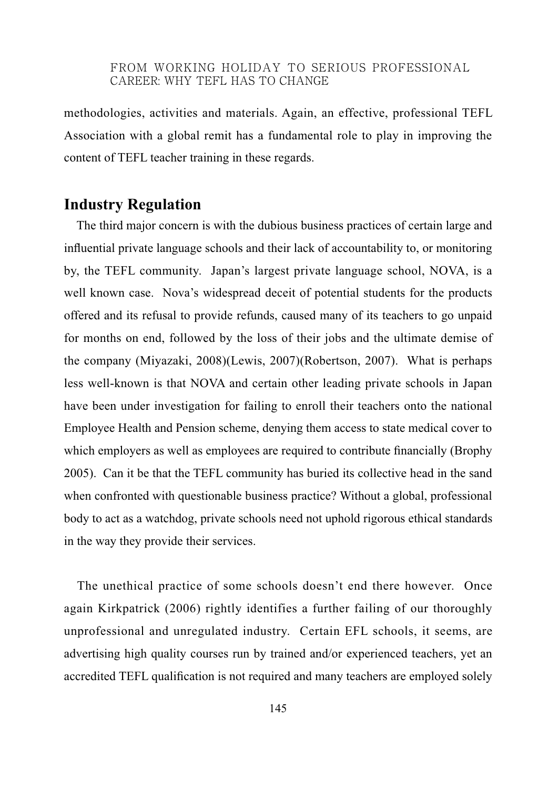methodologies, activities and materials. Again, an effective, professional TEFL Association with a global remit has a fundamental role to play in improving the content of TEFL teacher training in these regards.

## **Industry Regulation**

The third major concern is with the dubious business practices of certain large and influential private language schools and their lack of accountability to, or monitoring by, the TEFL community. Japan's largest private language school, NOVA, is a well known case. Nova's widespread deceit of potential students for the products offered and its refusal to provide refunds, caused many of its teachers to go unpaid for months on end, followed by the loss of their jobs and the ultimate demise of the company (Miyazaki, 2008)(Lewis, 2007)(Robertson, 2007). What is perhaps less well-known is that NOVA and certain other leading private schools in Japan have been under investigation for failing to enroll their teachers onto the national Employee Health and Pension scheme, denying them access to state medical cover to which employers as well as employees are required to contribute financially (Brophy 2005). Can it be that the TEFL community has buried its collective head in the sand when confronted with questionable business practice? Without a global, professional body to act as a watchdog, private schools need not uphold rigorous ethical standards in the way they provide their services.

The unethical practice of some schools doesn't end there however. Once again Kirkpatrick (2006) rightly identifies a further failing of our thoroughly unprofessional and unregulated industry. Certain EFL schools, it seems, are advertising high quality courses run by trained and/or experienced teachers, yet an accredited TEFL qualification is not required and many teachers are employed solely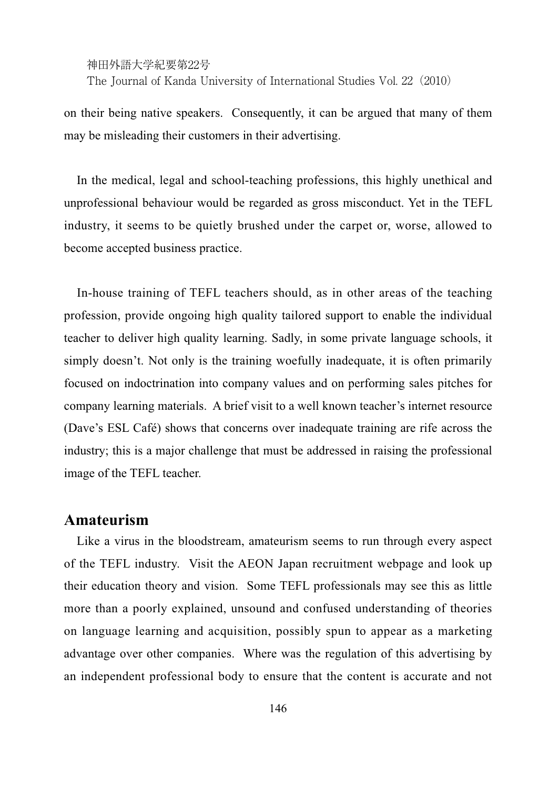The Journal of Kanda University of International Studies Vol. 22(2010)

on their being native speakers. Consequently, it can be argued that many of them may be misleading their customers in their advertising.

In the medical, legal and school-teaching professions, this highly unethical and unprofessional behaviour would be regarded as gross misconduct. Yet in the TEFL industry, it seems to be quietly brushed under the carpet or, worse, allowed to become accepted business practice.

In-house training of TEFL teachers should, as in other areas of the teaching profession, provide ongoing high quality tailored support to enable the individual teacher to deliver high quality learning. Sadly, in some private language schools, it simply doesn't. Not only is the training woefully inadequate, it is often primarily focused on indoctrination into company values and on performing sales pitches for company learning materials. A brief visit to a well known teacher's internet resource (Dave's ESL Café) shows that concerns over inadequate training are rife across the industry; this is a major challenge that must be addressed in raising the professional image of the TEFL teacher.

#### **Amateurism**

Like a virus in the bloodstream, amateurism seems to run through every aspect of the TEFL industry. Visit the AEON Japan recruitment webpage and look up their education theory and vision. Some TEFL professionals may see this as little more than a poorly explained, unsound and confused understanding of theories on language learning and acquisition, possibly spun to appear as a marketing advantage over other companies. Where was the regulation of this advertising by an independent professional body to ensure that the content is accurate and not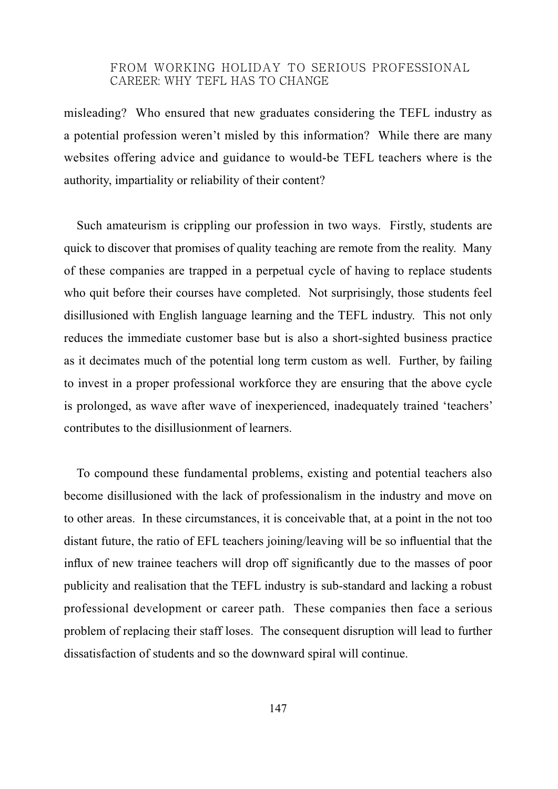misleading? Who ensured that new graduates considering the TEFL industry as a potential profession weren't misled by this information? While there are many websites offering advice and guidance to would-be TEFL teachers where is the authority, impartiality or reliability of their content?

Such amateurism is crippling our profession in two ways. Firstly, students are quick to discover that promises of quality teaching are remote from the reality. Many of these companies are trapped in a perpetual cycle of having to replace students who quit before their courses have completed. Not surprisingly, those students feel disillusioned with English language learning and the TEFL industry. This not only reduces the immediate customer base but is also a short-sighted business practice as it decimates much of the potential long term custom as well. Further, by failing to invest in a proper professional workforce they are ensuring that the above cycle is prolonged, as wave after wave of inexperienced, inadequately trained 'teachers' contributes to the disillusionment of learners.

To compound these fundamental problems, existing and potential teachers also become disillusioned with the lack of professionalism in the industry and move on to other areas. In these circumstances, it is conceivable that, at a point in the not too distant future, the ratio of EFL teachers joining/leaving will be so influential that the influx of new trainee teachers will drop off significantly due to the masses of poor publicity and realisation that the TEFL industry is sub-standard and lacking a robust professional development or career path. These companies then face a serious problem of replacing their staff loses. The consequent disruption will lead to further dissatisfaction of students and so the downward spiral will continue.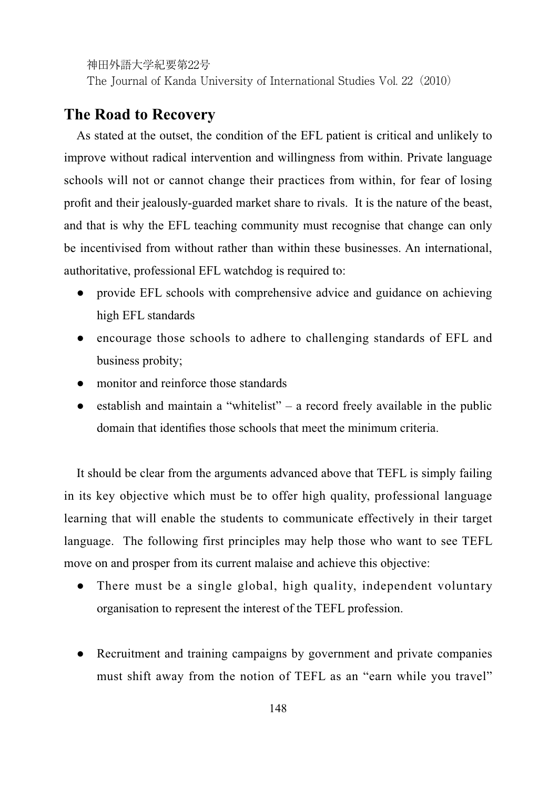The Journal of Kanda University of International Studies Vol. 22(2010)

## **The Road to Recovery**

As stated at the outset, the condition of the EFL patient is critical and unlikely to improve without radical intervention and willingness from within. Private language schools will not or cannot change their practices from within, for fear of losing profit and their jealously-guarded market share to rivals. It is the nature of the beast, and that is why the EFL teaching community must recognise that change can only be incentivised from without rather than within these businesses. An international, authoritative, professional EFL watchdog is required to:

- Ɣ provide EFL schools with comprehensive advice and guidance on achieving high EFL standards
- encourage those schools to adhere to challenging standards of EFL and business probity;
- monitor and reinforce those standards
- $\bullet$  establish and maintain a "whitelist" a record freely available in the public domain that identifies those schools that meet the minimum criteria

It should be clear from the arguments advanced above that TEFL is simply failing in its key objective which must be to offer high quality, professional language learning that will enable the students to communicate effectively in their target language. The following first principles may help those who want to see TEFL move on and prosper from its current malaise and achieve this objective:

- There must be a single global, high quality, independent voluntary organisation to represent the interest of the TEFL profession.
- Recruitment and training campaigns by government and private companies must shift away from the notion of TEFL as an "earn while you travel"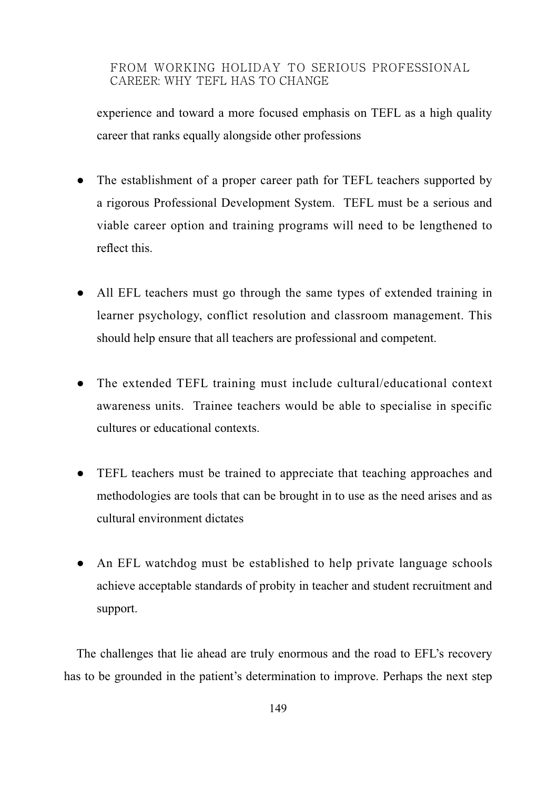experience and toward a more focused emphasis on TEFL as a high quality career that ranks equally alongside other professions

- The establishment of a proper career path for TEFL teachers supported by a rigorous Professional Development System. TEFL must be a serious and viable career option and training programs will need to be lengthened to reflect this.
- All EFL teachers must go through the same types of extended training in learner psychology, conflict resolution and classroom management. This should help ensure that all teachers are professional and competent.
- The extended TEFL training must include cultural/educational context awareness units. Trainee teachers would be able to specialise in specific cultures or educational contexts.
- TEFL teachers must be trained to appreciate that teaching approaches and methodologies are tools that can be brought in to use as the need arises and as cultural environment dictates
- An EFL watchdog must be established to help private language schools achieve acceptable standards of probity in teacher and student recruitment and support.

The challenges that lie ahead are truly enormous and the road to EFL's recovery has to be grounded in the patient's determination to improve. Perhaps the next step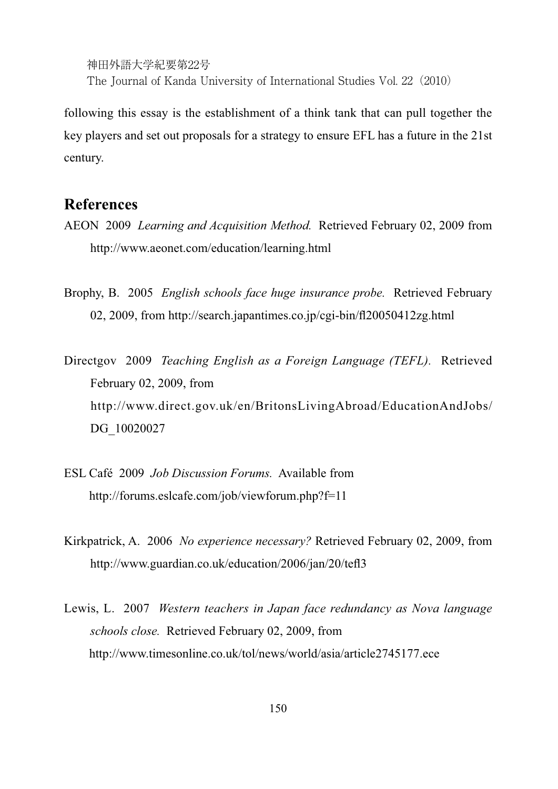神田外語大学紀要第22号 The Journal of Kanda University of International Studies Vol. 22(2010)

following this essay is the establishment of a think tank that can pull together the key players and set out proposals for a strategy to ensure EFL has a future in the 21st century.

## **References**

- AEON 2009 *Learning and Acquisition Method.* Retrieved February 02, 2009 from http://www.aeonet.com/education/learning.html
- Brophy, B. 2005 *English schools face huge insurance probe.* Retrieved February 02, 2009, from http://search.japantimes.co.jp/cgi-bin/fl20050412zg.html

Directgov 2009 *Teaching English as a Foreign Language (TEFL).* Retrieved February 02, 2009, from http://www.direct.gov.uk/en/BritonsLivingAbroad/EducationAndJobs/ DG\_10020027

- ESL Café 2009 *Job Discussion Forums.* Available from http://forums.eslcafe.com/job/viewforum.php?f=11
- Kirkpatrick, A. 2006 *No experience necessary?* Retrieved February 02, 2009, from http://www.guardian.co.uk/education/2006/jan/20/tefl3
- Lewis, L. 2007 *Western teachers in Japan face redundancy as Nova language schools close.* Retrieved February 02, 2009, from http://www.timesonline.co.uk/tol/news/world/asia/article2745177.ece